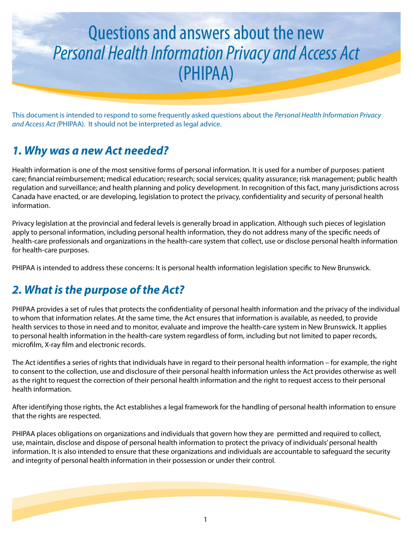# Questions and answers about the new *Personal Health Information Privacy and Access Act* (PHIPAA)

This document is intended to respond to some frequently asked questions about the *Personal Health Information Privacy and Access Act (*PHIPAA). It should not be interpreted as legal advice.

# *1. Why was a new Act needed?*

Health information is one of the most sensitive forms of personal information. It is used for a number of purposes: patient care; financial reimbursement; medical education; research; social services; quality assurance; risk management; public health regulation and surveillance; and health planning and policy development. In recognition of this fact, many jurisdictions across Canada have enacted, or are developing, legislation to protect the privacy, confidentiality and security of personal health information.

Privacy legislation at the provincial and federal levels is generally broad in application. Although such pieces of legislation apply to personal information, including personal health information, they do not address many of the specific needs of health-care professionals and organizations in the health-care system that collect, use or disclose personal health information for health-care purposes.

PHIPAA is intended to address these concerns: It is personal health information legislation specific to New Brunswick.

### *2. What is the purpose of the Act?*

PHIPAA provides a set of rules that protects the confidentiality of personal health information and the privacy of the individual to whom that information relates. At the same time, the Act ensures that information is available, as needed, to provide health services to those in need and to monitor, evaluate and improve the health-care system in New Brunswick. It applies to personal health information in the health-care system regardless of form, including but not limited to paper records, microfilm, X-ray film and electronic records.

The Act identifies a series of rights that individuals have in regard to their personal health information – for example, the right to consent to the collection, use and disclosure of their personal health information unless the Act provides otherwise as well as the right to request the correction of their personal health information and the right to request access to their personal health information.

After identifying those rights, the Act establishes a legal framework for the handling of personal health information to ensure that the rights are respected.

PHIPAA places obligations on organizations and individuals that govern how they are permitted and required to collect, use, maintain, disclose and dispose of personal health information to protect the privacy of individuals' personal health information. It is also intended to ensure that these organizations and individuals are accountable to safeguard the security and integrity of personal health information in their possession or under their control.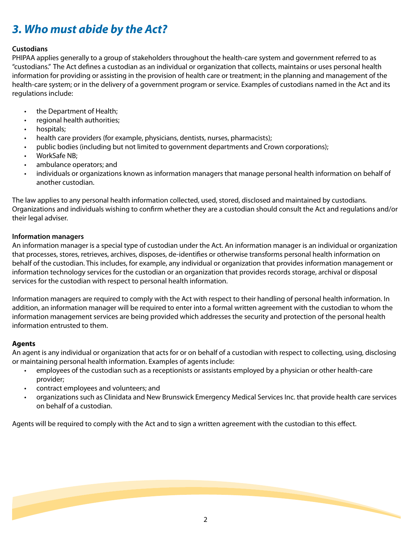# *3. Who must abide by the Act?*

#### **Custodians**

PHIPAA applies generally to a group of stakeholders throughout the health-care system and government referred to as "custodians." The Act defines a custodian as an individual or organization that collects, maintains or uses personal health information for providing or assisting in the provision of health care or treatment; in the planning and management of the health-care system; or in the delivery of a government program or service. Examples of custodians named in the Act and its regulations include:

- the Department of Health;
- regional health authorities;
- hospitals;
- health care providers (for example, physicians, dentists, nurses, pharmacists);
- public bodies (including but not limited to government departments and Crown corporations);
- WorkSafe NB;
- ambulance operators; and
- individuals or organizations known as information managers that manage personal health information on behalf of another custodian.

The law applies to any personal health information collected, used, stored, disclosed and maintained by custodians. Organizations and individuals wishing to confirm whether they are a custodian should consult the Act and regulations and/or their legal adviser.

#### **Information managers**

An information manager is a special type of custodian under the Act. An information manager is an individual or organization that processes, stores, retrieves, archives, disposes, de-identifies or otherwise transforms personal health information on behalf of the custodian. This includes, for example, any individual or organization that provides information management or information technology services for the custodian or an organization that provides records storage, archival or disposal services for the custodian with respect to personal health information.

Information managers are required to comply with the Act with respect to their handling of personal health information. In addition, an information manager will be required to enter into a formal written agreement with the custodian to whom the information management services are being provided which addresses the security and protection of the personal health information entrusted to them.

#### **Agents**

An agent is any individual or organization that acts for or on behalf of a custodian with respect to collecting, using, disclosing or maintaining personal health information. Examples of agents include:

- employees of the custodian such as a receptionists or assistants employed by a physician or other health-care provider;
- contract employees and volunteers; and
- organizations such as Clinidata and New Brunswick Emergency Medical Services Inc. that provide health care services on behalf of a custodian.

Agents will be required to comply with the Act and to sign a written agreement with the custodian to this effect.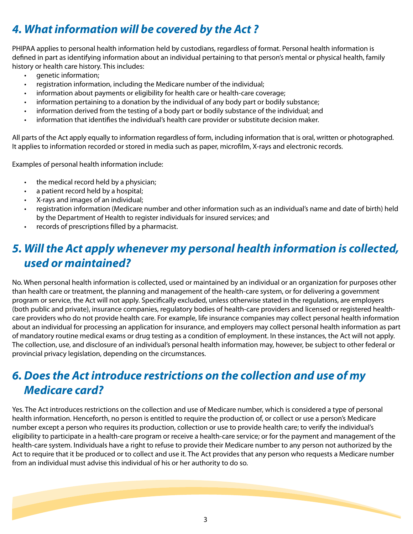# *4. What information will be covered by the Act ?*

PHIPAA applies to personal health information held by custodians, regardless of format. Personal health information is defined in part as identifying information about an individual pertaining to that person's mental or physical health, family history or health care history. This includes:

- genetic information;
- registration information, including the Medicare number of the individual;
- information about payments or eligibility for health care or health-care coverage;
- information pertaining to a donation by the individual of any body part or bodily substance;
- information derived from the testing of a body part or bodily substance of the individual; and
- information that identifies the individual's health care provider or substitute decision maker.

All parts of the Act apply equally to information regardless of form, including information that is oral, written or photographed. It applies to information recorded or stored in media such as paper, microfilm, X-rays and electronic records.

Examples of personal health information include:

- the medical record held by a physician;
- a patient record held by a hospital;
- X-rays and images of an individual;
- registration information (Medicare number and other information such as an individual's name and date of birth) held by the Department of Health to register individuals for insured services; and
- records of prescriptions filled by a pharmacist.

### *5. Will the Act apply whenever my personal health information is collected, used or maintained?*

No. When personal health information is collected, used or maintained by an individual or an organization for purposes other than health care or treatment, the planning and management of the health-care system, or for delivering a government program or service, the Act will not apply. Specifically excluded, unless otherwise stated in the regulations, are employers (both public and private), insurance companies, regulatory bodies of health-care providers and licensed or registered healthcare providers who do not provide health care. For example, life insurance companies may collect personal health information about an individual for processing an application for insurance, and employers may collect personal health information as part of mandatory routine medical exams or drug testing as a condition of employment. In these instances, the Act will not apply. The collection, use, and disclosure of an individual's personal health information may, however, be subject to other federal or provincial privacy legislation, depending on the circumstances.

### *6. Does the Act introduce restrictions on the collection and use of my Medicare card?*

Yes. The Act introduces restrictions on the collection and use of Medicare number, which is considered a type of personal health information. Henceforth, no person is entitled to require the production of, or collect or use a person's Medicare number except a person who requires its production, collection or use to provide health care; to verify the individual's eligibility to participate in a health-care program or receive a health-care service; or for the payment and management of the health-care system. Individuals have a right to refuse to provide their Medicare number to any person not authorized by the Act to require that it be produced or to collect and use it. The Act provides that any person who requests a Medicare number from an individual must advise this individual of his or her authority to do so.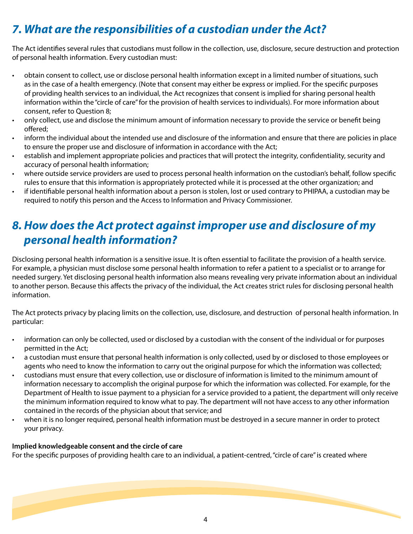# *7. What are the responsibilities of a custodian under the Act?*

The Act identifies several rules that custodians must follow in the collection, use, disclosure, secure destruction and protection of personal health information. Every custodian must:

- obtain consent to collect, use or disclose personal health information except in a limited number of situations, such as in the case of a health emergency. (Note that consent may either be express or implied. For the specific purposes of providing health services to an individual, the Act recognizes that consent is implied for sharing personal health information within the "circle of care" for the provision of health services to individuals). For more information about consent, refer to Question 8;
- only collect, use and disclose the minimum amount of information necessary to provide the service or benefit being offered;
- inform the individual about the intended use and disclosure of the information and ensure that there are policies in place to ensure the proper use and disclosure of information in accordance with the Act;
- establish and implement appropriate policies and practices that will protect the integrity, confidentiality, security and accuracy of personal health information;
- where outside service providers are used to process personal health information on the custodian's behalf, follow specific rules to ensure that this information is appropriately protected while it is processed at the other organization; and
- if identifiable personal health information about a person is stolen, lost or used contrary to PHIPAA, a custodian may be required to notify this person and the Access to Information and Privacy Commissioner.

### *8. How does the Act protect against improper use and disclosure of my personal health information?*

Disclosing personal health information is a sensitive issue. It is often essential to facilitate the provision of a health service. For example, a physician must disclose some personal health information to refer a patient to a specialist or to arrange for needed surgery. Yet disclosing personal health information also means revealing very private information about an individual to another person. Because this affects the privacy of the individual, the Act creates strict rules for disclosing personal health information.

The Act protects privacy by placing limits on the collection, use, disclosure, and destruction of personal health information. In particular:

- information can only be collected, used or disclosed by a custodian with the consent of the individual or for purposes permitted in the Act;
- a custodian must ensure that personal health information is only collected, used by or disclosed to those employees or agents who need to know the information to carry out the original purpose for which the information was collected;
- custodians must ensure that every collection, use or disclosure of information is limited to the minimum amount of information necessary to accomplish the original purpose for which the information was collected. For example, for the Department of Health to issue payment to a physician for a service provided to a patient, the department will only receive the minimum information required to know what to pay. The department will not have access to any other information contained in the records of the physician about that service; and
- when it is no longer required, personal health information must be destroyed in a secure manner in order to protect your privacy.

#### **Implied knowledgeable consent and the circle of care**

For the specific purposes of providing health care to an individual, a patient-centred, "circle of care" is created where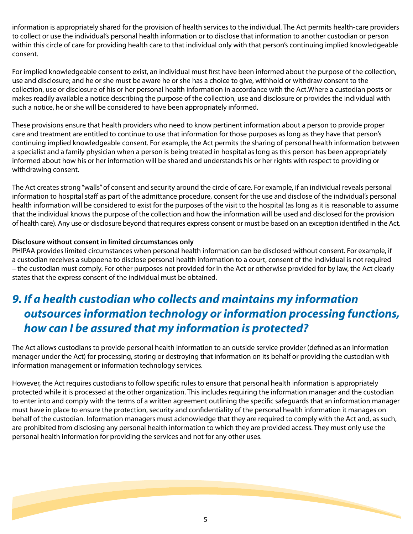information is appropriately shared for the provision of health services to the individual. The Act permits health-care providers to collect or use the individual's personal health information or to disclose that information to another custodian or person within this circle of care for providing health care to that individual only with that person's continuing implied knowledgeable consent.

For implied knowledgeable consent to exist, an individual must first have been informed about the purpose of the collection, use and disclosure; and he or she must be aware he or she has a choice to give, withhold or withdraw consent to the collection, use or disclosure of his or her personal health information in accordance with the Act.Where a custodian posts or makes readily available a notice describing the purpose of the collection, use and disclosure or provides the individual with such a notice, he or she will be considered to have been appropriately informed.

These provisions ensure that health providers who need to know pertinent information about a person to provide proper care and treatment are entitled to continue to use that information for those purposes as long as they have that person's continuing implied knowledgeable consent. For example, the Act permits the sharing of personal health information between a specialist and a family physician when a person is being treated in hospital as long as this person has been appropriately informed about how his or her information will be shared and understands his or her rights with respect to providing or withdrawing consent.

The Act creates strong "walls" of consent and security around the circle of care. For example, if an individual reveals personal information to hospital staff as part of the admittance procedure, consent for the use and disclose of the individual's personal health information will be considered to exist for the purposes of the visit to the hospital (as long as it is reasonable to assume that the individual knows the purpose of the collection and how the information will be used and disclosed for the provision of health care). Any use or disclosure beyond that requires express consent or must be based on an exception identified in the Act.

#### **Disclosure without consent in limited circumstances only**

PHIPAA provides limited circumstances when personal health information can be disclosed without consent. For example, if a custodian receives a subpoena to disclose personal health information to a court, consent of the individual is not required – the custodian must comply. For other purposes not provided for in the Act or otherwise provided for by law, the Act clearly states that the express consent of the individual must be obtained.

### *9. If a health custodian who collects and maintains my information outsources information technology or information processing functions, how can I be assured that my information is protected?*

The Act allows custodians to provide personal health information to an outside service provider (defined as an information manager under the Act) for processing, storing or destroying that information on its behalf or providing the custodian with information management or information technology services.

However, the Act requires custodians to follow specific rules to ensure that personal health information is appropriately protected while it is processed at the other organization. This includes requiring the information manager and the custodian to enter into and comply with the terms of a written agreement outlining the specific safeguards that an information manager must have in place to ensure the protection, security and confidentiality of the personal health information it manages on behalf of the custodian. Information managers must acknowledge that they are required to comply with the Act and, as such, are prohibited from disclosing any personal health information to which they are provided access. They must only use the personal health information for providing the services and not for any other uses.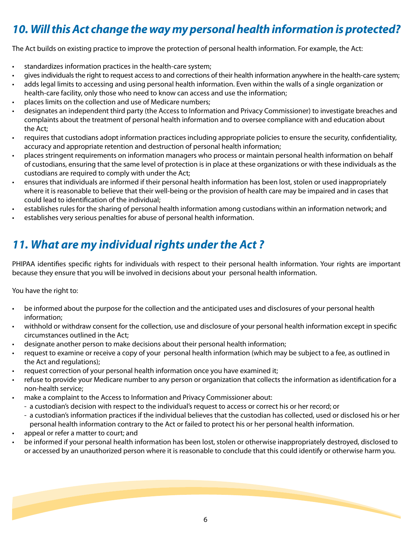# *10. Will this Act change the way my personal health information is protected?*

The Act builds on existing practice to improve the protection of personal health information. For example, the Act:

- standardizes information practices in the health-care system;
- gives individuals the right to request access to and corrections of their health information anywhere in the health-care system;
- adds legal limits to accessing and using personal health information. Even within the walls of a single organization or health-care facility, only those who need to know can access and use the information;
- places limits on the collection and use of Medicare numbers;
- designates an independent third party (the Access to Information and Privacy Commissioner) to investigate breaches and complaints about the treatment of personal health information and to oversee compliance with and education about the Act;
- requires that custodians adopt information practices including appropriate policies to ensure the security, confidentiality, accuracy and appropriate retention and destruction of personal health information;
- places stringent requirements on information managers who process or maintain personal health information on behalf of custodians, ensuring that the same level of protection is in place at these organizations or with these individuals as the custodians are required to comply with under the Act;
- ensures that individuals are informed if their personal health information has been lost, stolen or used inappropriately where it is reasonable to believe that their well-being or the provision of health care may be impaired and in cases that could lead to identification of the individual;
- establishes rules for the sharing of personal health information among custodians within an information network; and
- establishes very serious penalties for abuse of personal health information.

# *11. What are my individual rights under the Act ?*

PHIPAA identifies specific rights for individuals with respect to their personal health information. Your rights are important because they ensure that you will be involved in decisions about your personal health information.

You have the right to:

- be informed about the purpose for the collection and the anticipated uses and disclosures of your personal health information;
- withhold or withdraw consent for the collection, use and disclosure of your personal health information except in specific circumstances outlined in the Act;
- designate another person to make decisions about their personal health information;
- request to examine or receive a copy of your personal health information (which may be subject to a fee, as outlined in the Act and regulations);
- request correction of your personal health information once you have examined it;
- refuse to provide your Medicare number to any person or organization that collects the information as identification for a non-health service;
	- make a complaint to the Access to Information and Privacy Commissioner about:
		- a custodian's decision with respect to the individual's request to access or correct his or her record; or
		- a custodian's information practices if the individual believes that the custodian has collected, used or disclosed his or her personal health information contrary to the Act or failed to protect his or her personal health information.
- appeal or refer a matter to court; and
- be informed if your personal health information has been lost, stolen or otherwise inappropriately destroyed, disclosed to or accessed by an unauthorized person where it is reasonable to conclude that this could identify or otherwise harm you.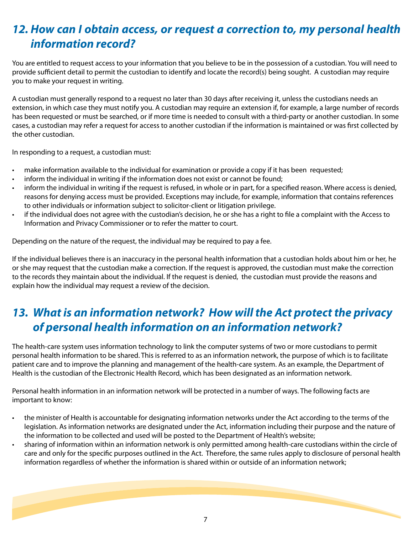# *12. How can I obtain access, or request a correction to, my personal health information record?*

You are entitled to request access to your information that you believe to be in the possession of a custodian. You will need to provide sufficient detail to permit the custodian to identify and locate the record(s) being sought. A custodian may require you to make your request in writing.

A custodian must generally respond to a request no later than 30 days after receiving it, unless the custodians needs an extension, in which case they must notify you. A custodian may require an extension if, for example, a large number of records has been requested or must be searched, or if more time is needed to consult with a third-party or another custodian. In some cases, a custodian may refer a request for access to another custodian if the information is maintained or was first collected by the other custodian.

In responding to a request, a custodian must:

- make information available to the individual for examination or provide a copy if it has been requested;
- inform the individual in writing if the information does not exist or cannot be found;
- inform the individual in writing if the request is refused, in whole or in part, for a specified reason. Where access is denied, reasons for denying access must be provided. Exceptions may include, for example, information that contains references to other individuals or information subject to solicitor-client or litigation privilege.
- if the individual does not agree with the custodian's decision, he or she has a right to file a complaint with the Access to Information and Privacy Commissioner or to refer the matter to court.

Depending on the nature of the request, the individual may be required to pay a fee.

If the individual believes there is an inaccuracy in the personal health information that a custodian holds about him or her, he or she may request that the custodian make a correction. If the request is approved, the custodian must make the correction to the records they maintain about the individual. If the request is denied, the custodian must provide the reasons and explain how the individual may request a review of the decision.

### *13. What is an information network? How will the Act protect the privacy of personal health information on an information network?*

The health-care system uses information technology to link the computer systems of two or more custodians to permit personal health information to be shared. This is referred to as an information network, the purpose of which is to facilitate patient care and to improve the planning and management of the health-care system. As an example, the Department of Health is the custodian of the Electronic Health Record, which has been designated as an information network.

Personal health information in an information network will be protected in a number of ways. The following facts are important to know:

- the minister of Health is accountable for designating information networks under the Act according to the terms of the legislation. As information networks are designated under the Act, information including their purpose and the nature of the information to be collected and used will be posted to the Department of Health's website;
- sharing of information within an information network is only permitted among health-care custodians within the circle of care and only for the specific purposes outlined in the Act. Therefore, the same rules apply to disclosure of personal health information regardless of whether the information is shared within or outside of an information network;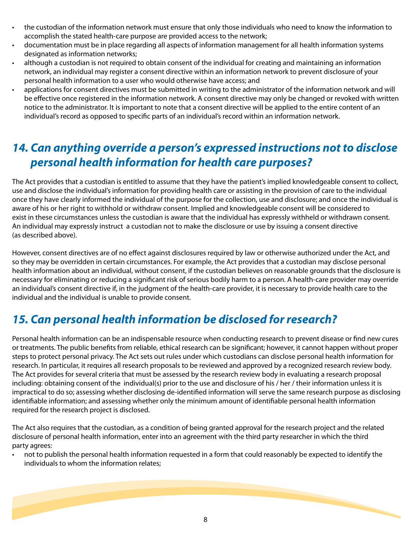- the custodian of the information network must ensure that only those individuals who need to know the information to accomplish the stated health-care purpose are provided access to the network;
- documentation must be in place regarding all aspects of information management for all health information systems designated as information networks;
- although a custodian is not required to obtain consent of the individual for creating and maintaining an information network, an individual may register a consent directive within an information network to prevent disclosure of your personal health information to a user who would otherwise have access; and
- applications for consent directives must be submitted in writing to the administrator of the information network and will be effective once registered in the information network. A consent directive may only be changed or revoked with written notice to the administrator. It is important to note that a consent directive will be applied to the entire content of an individual's record as opposed to specific parts of an individual's record within an information network.

### *14. Can anything override a person's expressed instructions not to disclose personal health information for health care purposes?*

The Act provides that a custodian is entitled to assume that they have the patient's implied knowledgeable consent to collect, use and disclose the individual's information for providing health care or assisting in the provision of care to the individual once they have clearly informed the individual of the purpose for the collection, use and disclosure; and once the individual is aware of his or her right to withhold or withdraw consent. Implied and knowledgeable consent will be considered to exist in these circumstances unless the custodian is aware that the individual has expressly withheld or withdrawn consent. An individual may expressly instruct a custodian not to make the disclosure or use by issuing a consent directive (as described above).

However, consent directives are of no effect against disclosures required by law or otherwise authorized under the Act, and so they may be overridden in certain circumstances. For example, the Act provides that a custodian may disclose personal health information about an individual, without consent, if the custodian believes on reasonable grounds that the disclosure is necessary for eliminating or reducing a significant risk of serious bodily harm to a person. A health-care provider may override an individual's consent directive if, in the judgment of the health-care provider, it is necessary to provide health care to the individual and the individual is unable to provide consent.

# *15. Can personal health information be disclosed for research?*

Personal health information can be an indispensable resource when conducting research to prevent disease or find new cures or treatments. The public benefits from reliable, ethical research can be significant; however, it cannot happen without proper steps to protect personal privacy. The Act sets out rules under which custodians can disclose personal health information for research. In particular, it requires all research proposals to be reviewed and approved by a recognized research review body. The Act provides for several criteria that must be assessed by the research review body in evaluating a research proposal including: obtaining consent of the individual(s) prior to the use and disclosure of his / her / their information unless it is impractical to do so; assessing whether disclosing de-identified information will serve the same research purpose as disclosing identifiable information; and assessing whether only the minimum amount of identifiable personal health information required for the research project is disclosed.

The Act also requires that the custodian, as a condition of being granted approval for the research project and the related disclosure of personal health information, enter into an agreement with the third party researcher in which the third party agrees:

• not to publish the personal health information requested in a form that could reasonably be expected to identify the individuals to whom the information relates;